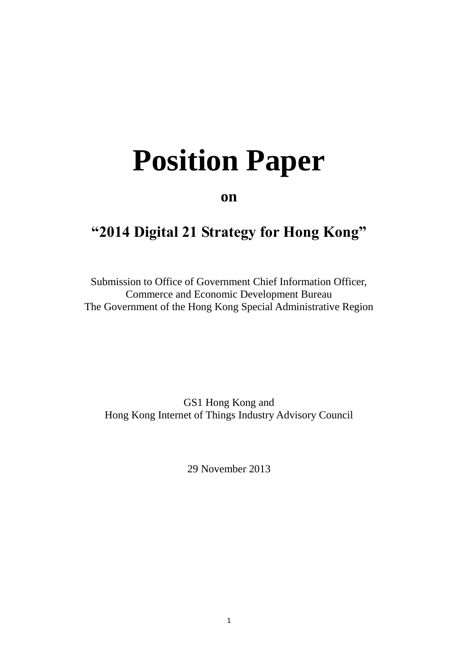# **Position Paper**

**on**

# **"2014 Digital 21 Strategy for Hong Kong"**

Submission to Office of Government Chief Information Officer, Commerce and Economic Development Bureau The Government of the Hong Kong Special Administrative Region

GS1 Hong Kong and Hong Kong Internet of Things Industry Advisory Council

29 November 2013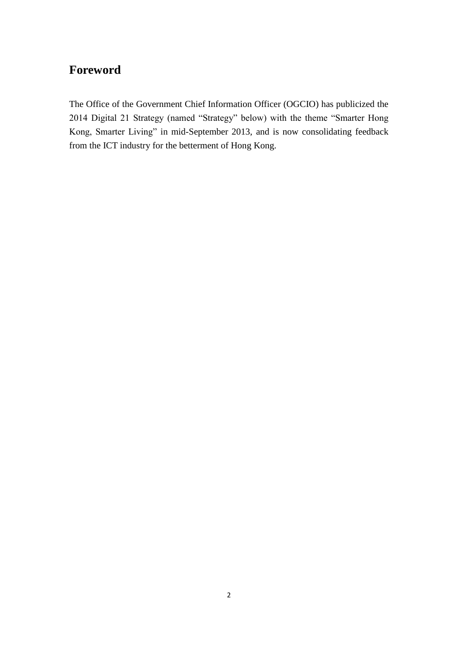# **Foreword**

The Office of the Government Chief Information Officer (OGCIO) has publicized the 2014 Digital 21 Strategy (named "Strategy" below) with the theme "Smarter Hong Kong, Smarter Living" in mid-September 2013, and is now consolidating feedback from the ICT industry for the betterment of Hong Kong.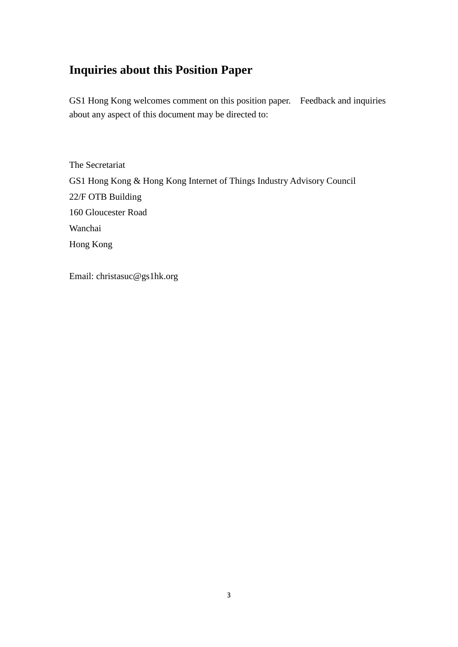## **Inquiries about this Position Paper**

GS1 Hong Kong welcomes comment on this position paper. Feedback and inquiries about any aspect of this document may be directed to:

The Secretariat GS1 Hong Kong & Hong Kong Internet of Things Industry Advisory Council 22/F OTB Building 160 Gloucester Road Wanchai Hong Kong

<span id="page-2-0"></span>Email: christasuc@gs1hk.org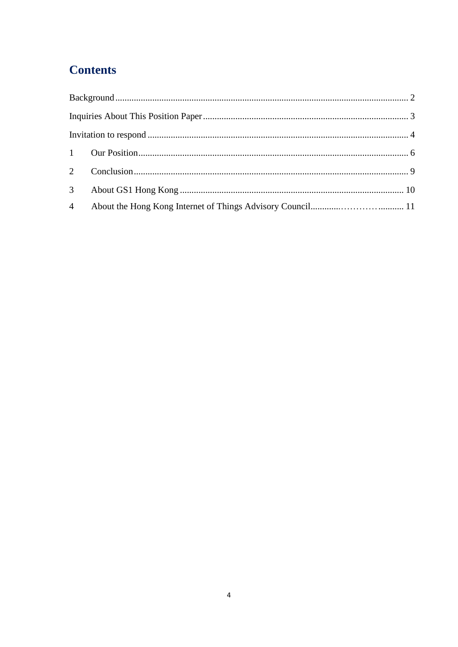# **Contents**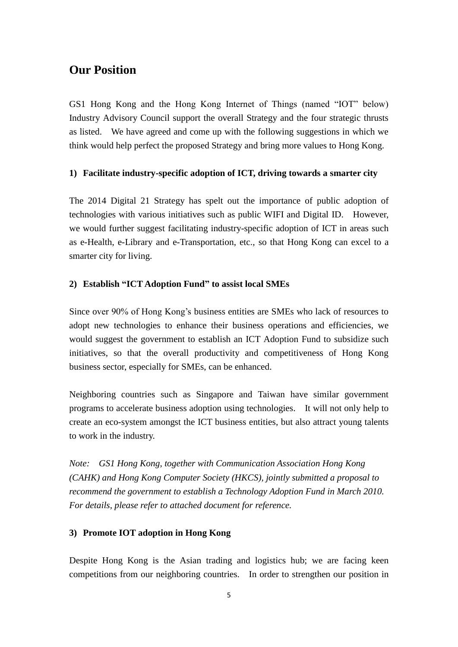## **Our Position**

GS1 Hong Kong and the Hong Kong Internet of Things (named "IOT" below) Industry Advisory Council support the overall Strategy and the four strategic thrusts as listed. We have agreed and come up with the following suggestions in which we think would help perfect the proposed Strategy and bring more values to Hong Kong.

#### **1) Facilitate industry-specific adoption of ICT, driving towards a smarter city**

The 2014 Digital 21 Strategy has spelt out the importance of public adoption of technologies with various initiatives such as public WIFI and Digital ID. However, we would further suggest facilitating industry-specific adoption of ICT in areas such as e-Health, e-Library and e-Transportation, etc., so that Hong Kong can excel to a smarter city for living.

#### **2) Establish "ICT Adoption Fund" to assist local SMEs**

Since over 90% of Hong Kong's business entities are SMEs who lack of resources to adopt new technologies to enhance their business operations and efficiencies, we would suggest the government to establish an ICT Adoption Fund to subsidize such initiatives, so that the overall productivity and competitiveness of Hong Kong business sector, especially for SMEs, can be enhanced.

Neighboring countries such as Singapore and Taiwan have similar government programs to accelerate business adoption using technologies. It will not only help to create an eco-system amongst the ICT business entities, but also attract young talents to work in the industry.

*Note: GS1 Hong Kong, together with Communication Association Hong Kong (CAHK) and Hong Kong Computer Society (HKCS), jointly submitted a proposal to recommend the government to establish a Technology Adoption Fund in March 2010. For details, please refer to attached document for reference.*

#### **3) Promote IOT adoption in Hong Kong**

Despite Hong Kong is the Asian trading and logistics hub; we are facing keen competitions from our neighboring countries. In order to strengthen our position in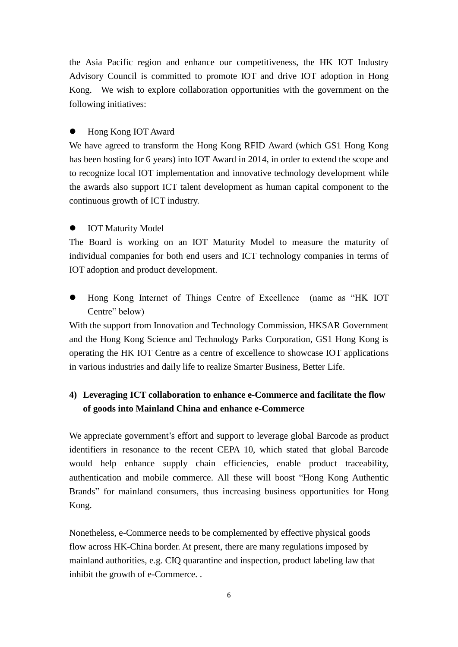the Asia Pacific region and enhance our competitiveness, the HK IOT Industry Advisory Council is committed to promote IOT and drive IOT adoption in Hong Kong. We wish to explore collaboration opportunities with the government on the following initiatives:

#### Hong Kong IOT Award

We have agreed to transform the Hong Kong RFID Award (which GS1 Hong Kong has been hosting for 6 years) into IOT Award in 2014, in order to extend the scope and to recognize local IOT implementation and innovative technology development while the awards also support ICT talent development as human capital component to the continuous growth of ICT industry.

#### IOT Maturity Model

The Board is working on an IOT Maturity Model to measure the maturity of individual companies for both end users and ICT technology companies in terms of IOT adoption and product development.

 Hong Kong Internet of Things Centre of Excellence (name as "HK IOT Centre" below)

With the support from Innovation and Technology Commission, HKSAR Government and the Hong Kong Science and Technology Parks Corporation, GS1 Hong Kong is operating the HK IOT Centre as a centre of excellence to showcase IOT applications in various industries and daily life to realize Smarter Business, Better Life.

## **4) Leveraging ICT collaboration to enhance e-Commerce and facilitate the flow of goods into Mainland China and enhance e-Commerce**

We appreciate government's effort and support to leverage global Barcode as product identifiers in resonance to the recent CEPA 10, which stated that global Barcode would help enhance supply chain efficiencies, enable product traceability, authentication and mobile commerce. All these will boost "Hong Kong Authentic Brands" for mainland consumers, thus increasing business opportunities for Hong Kong.

Nonetheless, e-Commerce needs to be complemented by effective physical goods flow across HK-China border. At present, there are many regulations imposed by mainland authorities, e.g. CIQ quarantine and inspection, product labeling law that inhibit the growth of e-Commerce. .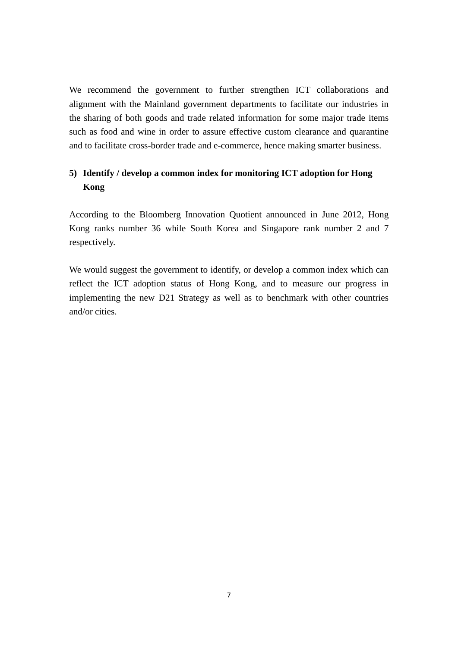We recommend the government to further strengthen ICT collaborations and alignment with the Mainland government departments to facilitate our industries in the sharing of both goods and trade related information for some major trade items such as food and wine in order to assure effective custom clearance and quarantine and to facilitate cross-border trade and e-commerce, hence making smarter business.

### **5) Identify / develop a common index for monitoring ICT adoption for Hong Kong**

According to the Bloomberg Innovation Quotient announced in June 2012, Hong Kong ranks number 36 while South Korea and Singapore rank number 2 and 7 respectively.

We would suggest the government to identify, or develop a common index which can reflect the ICT adoption status of Hong Kong, and to measure our progress in implementing the new D21 Strategy as well as to benchmark with other countries and/or cities.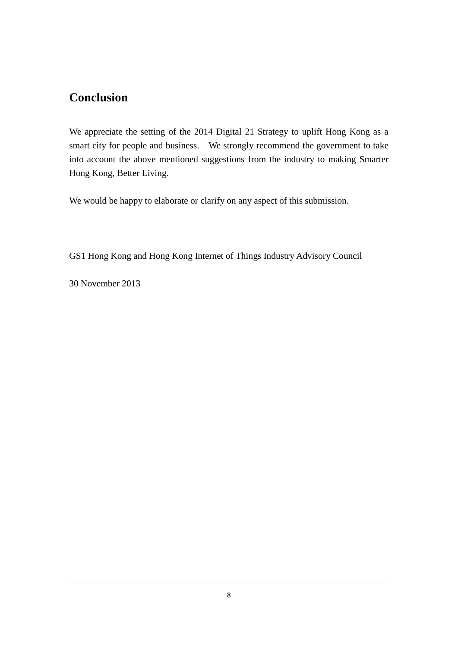## **Conclusion**

We appreciate the setting of the 2014 Digital 21 Strategy to uplift Hong Kong as a smart city for people and business. We strongly recommend the government to take into account the above mentioned suggestions from the industry to making Smarter Hong Kong, Better Living.

We would be happy to elaborate or clarify on any aspect of this submission.

GS1 Hong Kong and Hong Kong Internet of Things Industry Advisory Council

30 November 2013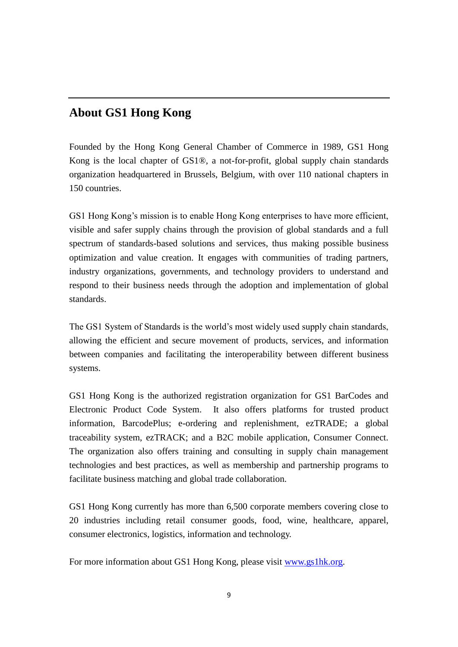## **About GS1 Hong Kong**

Founded by the Hong Kong General Chamber of Commerce in 1989, GS1 Hong Kong is the local chapter of GS1® , a not-for-profit, global supply chain standards organization headquartered in Brussels, Belgium, with over 110 national chapters in 150 countries.

GS1 Hong Kong's mission is to enable Hong Kong enterprises to have more efficient, visible and safer supply chains through the provision of global standards and a full spectrum of standards-based solutions and services, thus making possible business optimization and value creation. It engages with communities of trading partners, industry organizations, governments, and technology providers to understand and respond to their business needs through the adoption and implementation of global standards.

The GS1 System of Standards is the world's most widely used supply chain standards, allowing the efficient and secure movement of products, services, and information between companies and facilitating the interoperability between different business systems.

GS1 Hong Kong is the authorized registration organization for GS1 BarCodes and Electronic Product Code System. It also offers platforms for trusted product information, BarcodePlus; e-ordering and replenishment, ezTRADE; a global traceability system, ezTRACK; and a B2C mobile application, Consumer Connect. The organization also offers training and consulting in supply chain management technologies and best practices, as well as membership and partnership programs to facilitate business matching and global trade collaboration.

GS1 Hong Kong currently has more than 6,500 corporate members covering close to 20 industries including retail consumer goods, food, wine, healthcare, apparel, consumer electronics, logistics, information and technology.

For more information about GS1 Hong Kong, please visit [www.gs1hk.org.](http://www.gs1hk.org/)